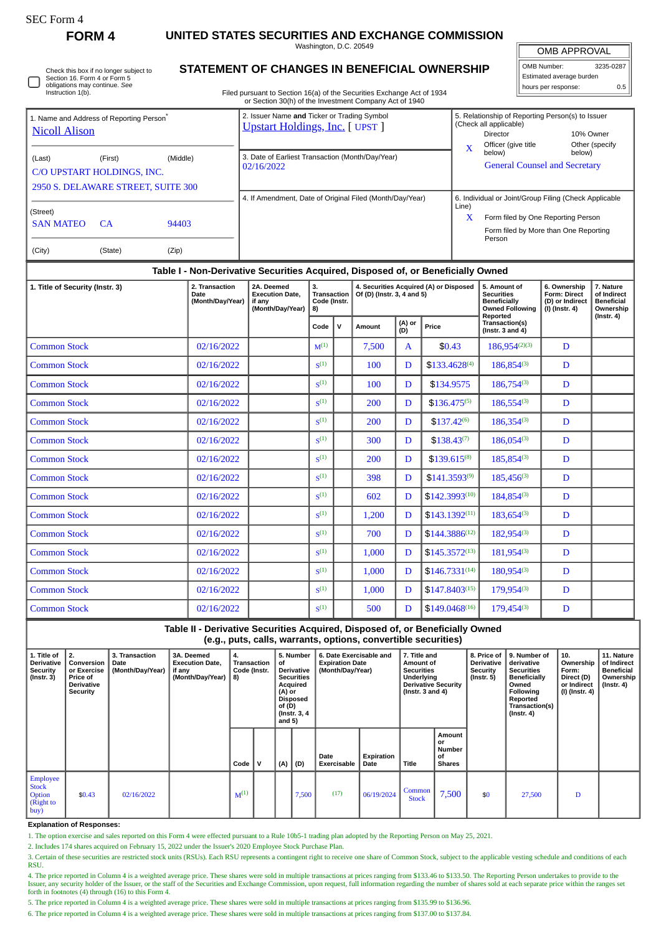| rtt, Form |  |
|-----------|--|
|-----------|--|

**FORM 4 UNITED STATES SECURITIES AND EXCHANGE COMMISSION**

Washington, D.C. 20549

OMB APPROVAL

| OMB Number:             | 3235-0287     |
|-------------------------|---------------|
| Stimated average burden |               |
| hours per response:     | $0.5^{\circ}$ |

Check this box if no longer subject to Section 16. Form 4 or Form 5 obligations may continue. *See* Instruction 1(b).

## **STATEMENT OF CHANGES IN BENEFICIAL OWNERSHIP**

Filed pursuant to Section 16(a) of the Securities Exchange Act of 1934 or Section 30(h) of the Investment Company Act of 1940

|                                                                               |                                                                                  |          |                                                                                       |                                   | 0. Occabii obyli or alc lifecoaliciil Company Act of 1940            |             |                                                                                                                                                |                                                        |                                               |  |  |  |
|-------------------------------------------------------------------------------|----------------------------------------------------------------------------------|----------|---------------------------------------------------------------------------------------|-----------------------------------|----------------------------------------------------------------------|-------------|------------------------------------------------------------------------------------------------------------------------------------------------|--------------------------------------------------------|-----------------------------------------------|--|--|--|
| <b>Nicoll Alison</b>                                                          | 1. Name and Address of Reporting Person <sup>®</sup>                             |          | 2. Issuer Name and Ticker or Trading Symbol<br><b>Upstart Holdings, Inc.</b> [ UPST ] |                                   |                                                                      | $\mathbf x$ | 5. Relationship of Reporting Person(s) to Issuer<br>(Check all applicable)<br><b>Director</b><br>Officer (give title                           | 10% Owner                                              | Other (specify                                |  |  |  |
| (Last)                                                                        | (First)<br>C/O UPSTART HOLDINGS, INC.<br>2950 S. DELAWARE STREET, SUITE 300      | (Middle) | 3. Date of Earliest Transaction (Month/Day/Year)<br>02/16/2022                        |                                   |                                                                      |             | below)<br>below)<br><b>General Counsel and Secretary</b>                                                                                       |                                                        |                                               |  |  |  |
| (Street)<br><b>SAN MATEO</b><br>94403<br>CA.<br>(City)<br>(State)<br>(Zip)    |                                                                                  |          |                                                                                       |                                   | 4. If Amendment, Date of Original Filed (Month/Day/Year)             | Line)<br>X  | 6. Individual or Joint/Group Filing (Check Applicable<br>Form filed by One Reporting Person<br>Form filed by More than One Reporting<br>Person |                                                        |                                               |  |  |  |
|                                                                               | Table I - Non-Derivative Securities Acquired, Disposed of, or Beneficially Owned |          |                                                                                       |                                   |                                                                      |             |                                                                                                                                                |                                                        |                                               |  |  |  |
| 2. Transaction<br>1. Title of Security (Instr. 3)<br>Date<br>(Month/Day/Year) |                                                                                  |          | 2A. Deemed<br><b>Execution Date.</b><br>if any                                        | 3.<br>Transaction<br>Code (Instr. | 4. Securities Acquired (A) or Disposed<br>Of (D) (Instr. 3, 4 and 5) |             | 5. Amount of<br><b>Securities</b><br>Beneficially                                                                                              | 6. Ownership<br><b>Form: Direct</b><br>(D) or Indirect | 7. Nature<br>of Indirect<br><b>Beneficial</b> |  |  |  |

|                     | (Month/Day/Year) | if any<br>(Month/Day/Year) | Code (Instr.<br>8) |              |        |                        |                    | Beneficially<br><b>Owned Following</b>              | (D) or indirect<br>$(1)$ (Instr. 4) | Beneficial<br>Ownership |  |
|---------------------|------------------|----------------------------|--------------------|--------------|--------|------------------------|--------------------|-----------------------------------------------------|-------------------------------------|-------------------------|--|
|                     |                  |                            | Code               | $\mathsf{v}$ | Amount | (A) or<br>(D)<br>Price |                    | Reported<br>Transaction(s)<br>(Instr. $3$ and $4$ ) |                                     | $($ Instr. 4 $)$        |  |
| <b>Common Stock</b> | 02/16/2022       |                            | $M^{(1)}$          |              | 7,500  | $\mathbf{A}$           | \$0.43             | $186,954^{(2)(3)}$                                  | D                                   |                         |  |
| <b>Common Stock</b> | 02/16/2022       |                            | S <sup>(1)</sup>   |              | 100    | D                      | $$133.4628^{(4)}$  | $186,854^{(3)}$                                     | D                                   |                         |  |
| <b>Common Stock</b> | 02/16/2022       |                            | S <sup>(1)</sup>   |              | 100    | D                      | \$134.9575         | 186,754(3)                                          | D                                   |                         |  |
| <b>Common Stock</b> | 02/16/2022       |                            | S <sup>(1)</sup>   |              | 200    | D                      | $$136.475^{(5)}$$  | 186,554(3)                                          | D                                   |                         |  |
| <b>Common Stock</b> | 02/16/2022       |                            | $\mathbf{S}^{(1)}$ |              | 200    | D                      | $$137.42^{(6)}$    | $186,354^{(3)}$                                     | D                                   |                         |  |
| <b>Common Stock</b> | 02/16/2022       |                            | S <sup>(1)</sup>   |              | 300    | D                      | $$138.43^{(7)}$    | $186,054^{(3)}$                                     | D                                   |                         |  |
| <b>Common Stock</b> | 02/16/2022       |                            | $\mathbf{S}^{(1)}$ |              | 200    | D                      | $$139.615^{(8)}$   | 185,854(3)                                          | D                                   |                         |  |
| <b>Common Stock</b> | 02/16/2022       |                            | S <sup>(1)</sup>   |              | 398    | D                      | $$141.3593^{(9)}$  | $185,456^{(3)}$                                     | D                                   |                         |  |
| <b>Common Stock</b> | 02/16/2022       |                            | $\zeta^{(1)}$      |              | 602    | D                      | $$142.3993^{(10)}$ | $184,854^{(3)}$                                     | D                                   |                         |  |
| <b>Common Stock</b> | 02/16/2022       |                            | S <sup>(1)</sup>   |              | 1,200  | D                      | $$143.1392^{(11)}$ | $183,654^{(3)}$                                     | D                                   |                         |  |
| <b>Common Stock</b> | 02/16/2022       |                            | S <sup>(1)</sup>   |              | 700    | D                      | $$144.3886^{(12)}$ | $182,954^{(3)}$                                     | D                                   |                         |  |
| <b>Common Stock</b> | 02/16/2022       |                            | $S^{(1)}$          |              | 1,000  | D                      | $$145.3572^{(13)}$ | $181,954^{(3)}$                                     | D                                   |                         |  |
| <b>Common Stock</b> | 02/16/2022       |                            | S <sup>(1)</sup>   |              | 1,000  | D                      | $$146.7331^{(14)}$ | $180,954^{(3)}$                                     | D                                   |                         |  |
| <b>Common Stock</b> | 02/16/2022       |                            | S <sup>(1)</sup>   |              | 1,000  | D                      | $$147.8403^{(15)}$ | 179,954(3)                                          | D                                   |                         |  |
| <b>Common Stock</b> | 02/16/2022       |                            | S <sup>(1)</sup>   |              | 500    | D                      | $$149.0468^{(16)}$ | $179,454^{(3)}$                                     | D                                   |                         |  |

**Table II - Derivative Securities Acquired, Disposed of, or Beneficially Owned (e.g., puts, calls, warrants, options, convertible securities)**

| 1. Title of<br>Derivative<br>Security<br>$($ Instr. 3 $)$                    | 2.<br>Conversion<br>or Exercise<br>Price of<br><b>Derivative</b><br>Security | 3. Transaction<br>Date<br>(Month/Day/Year) | 3A. Deemed<br><b>Execution Date,</b><br>if any<br>(Month/Day/Year) | 4.<br>Transaction<br>Code (Instr.<br>$ 8\rangle$ |   | 5. Number<br>of<br><b>Derivative</b><br><b>Securities</b><br>Acquired<br>(A) or<br><b>Disposed</b><br>of (D)<br>(Instr. 3, 4)<br>and $5)$ |       | 6. Date Exercisable and<br><b>Expiration Date</b><br>(Month/Day/Year) |                    | 7. Title and<br><b>Amount of</b><br><b>Securities</b><br>Underlying<br><b>Derivative Security</b><br>(Instr. $3$ and $4$ ) |                                                      | 8. Price of<br><b>Derivative</b><br><b>Security</b><br>$($ lnstr. 5 $)$ | 9. Number of<br>derivative<br><b>Securities</b><br><b>Beneficially</b><br>Owned<br><b>Following</b><br>Reported<br>Transaction(s)<br>$($ Instr. 4 $)$ | 10.<br>Ownership<br>Form:<br>Direct (D)<br>or Indirect<br>(I) (Instr. 4) | 11. Nature<br>of Indirect<br>Beneficial<br>Ownership<br>(Instr. 4) |
|------------------------------------------------------------------------------|------------------------------------------------------------------------------|--------------------------------------------|--------------------------------------------------------------------|--------------------------------------------------|---|-------------------------------------------------------------------------------------------------------------------------------------------|-------|-----------------------------------------------------------------------|--------------------|----------------------------------------------------------------------------------------------------------------------------|------------------------------------------------------|-------------------------------------------------------------------------|-------------------------------------------------------------------------------------------------------------------------------------------------------|--------------------------------------------------------------------------|--------------------------------------------------------------------|
|                                                                              |                                                                              |                                            |                                                                    | Code                                             | v | (A)                                                                                                                                       | (D)   | Date<br>Exercisable                                                   | Expiration<br>Date | <b>Title</b>                                                                                                               | Amount<br>or<br><b>Number</b><br>οf<br><b>Shares</b> |                                                                         |                                                                                                                                                       |                                                                          |                                                                    |
| <b>Employee</b><br><b>Stock</b><br><b>Option</b><br><b>Right</b> to<br> buy) | \$0.43                                                                       | 02/16/2022                                 |                                                                    | $M^{(1)}$                                        |   |                                                                                                                                           | 7,500 | (17)                                                                  | 06/19/2024         | Common<br><b>Stock</b>                                                                                                     | 7,500                                                | \$0                                                                     | 27,500                                                                                                                                                | D                                                                        |                                                                    |

**Explanation of Responses:**

1. The option exercise and sales reported on this Form 4 were effected pursuant to a Rule 10b5-1 trading plan adopted by the Reporting Person on May 25, 2021.

2. Includes 174 shares acquired on February 15, 2022 under the Issuer's 2020 Employee Stock Purchase Plan.

3. Certain of these securities are restricted stock units (RSUs). Each RSU represents a contingent right to receive one share of Common Stock, subject to the applicable vesting schedule and conditions of each RSU.

4. The price reported in Column 4 is a weighted average price. These shares were sold in multiple transactions at prices ranging from \$133.46 to \$133.50. The Reporting Person undertakes to provide to the<br>Issuer, any securi forth in footnotes (4) through (16) to this Form 4.

5. The price reported in Column 4 is a weighted average price. These shares were sold in multiple transactions at prices ranging from \$135.99 to \$136.96.

6. The price reported in Column 4 is a weighted average price. These shares were sold in multiple transactions at prices ranging from \$137.00 to \$137.84.